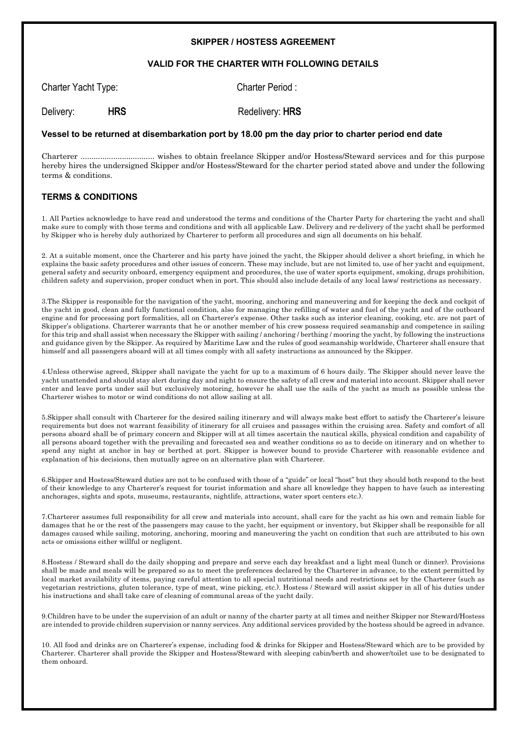## **SKIPPER / HOSTESS AGREEMENT**

## **VALID FOR THE CHARTER WITH FOLLOWING DETAILS**

| Charter Yacht Type: |            | Charter Period: |
|---------------------|------------|-----------------|
| Delivery:           | <b>HRS</b> | Redelivery: HRS |

## **Vessel to be returned at disembarkation port by 18.00 pm the day prior to charter period end date**

Charterer .................................. wishes to obtain freelance Skipper and/or Hostess/Steward services and for this purpose hereby hires the undersigned Skipper and/or Hostess/Steward for the charter period stated above and under the following terms & conditions.

## **TERMS & CONDITIONS**

1. All Parties acknowledge to have read and understood the terms and conditions of the Charter Party for chartering the yacht and shall make sure to comply with those terms and conditions and with all applicable Law. Delivery and re-delivery of the yacht shall be performed by Skipper who is hereby duly authorized by Charterer to perform all procedures and sign all documents on his behalf.

2. At a suitable moment, once the Charterer and his party have joined the yacht, the Skipper should deliver a short briefing, in which he explains the basic safety procedures and other issues of concern. These may include, but are not limited to, use of her yacht and equipment, general safety and security onboard, emergency equipment and procedures, the use of water sports equipment, smoking, drugs prohibition, children safety and supervision, proper conduct when in port. This should also include details of any local laws/ restrictions as necessary.

3.The Skipper is responsible for the navigation of the yacht, mooring, anchoring and maneuvering and for keeping the deck and cockpit of the yacht in good, clean and fully functional condition, also for managing the refilling of water and fuel of the yacht and of the outboard engine and for processing port formalities, all on Charterer's expense. Other tasks such as interior cleaning, cooking, etc. are not part of Skipper's obligations. Charterer warrants that he or another member of his crew possess required seamanship and competence in sailing for this trip and shall assist when necessary the Skipper with sailing / anchoring / berthing / mooring the yacht, by following the instructions and guidance given by the Skipper. As required by Maritime Law and the rules of good seamanship worldwide, Charterer shall ensure that himself and all passengers aboard will at all times comply with all safety instructions as announced by the Skipper.

4.Unless otherwise agreed, Skipper shall navigate the yacht for up to a maximum of 6 hours daily. The Skipper should never leave the yacht unattended and should stay alert during day and night to ensure the safety of all crew and material into account. Skipper shall never enter and leave ports under sail but exclusively motoring, however he shall use the sails of the yacht as much as possible unless the Charterer wishes to motor or wind conditions do not allow sailing at all.

5.Skipper shall consult with Charterer for the desired sailing itinerary and will always make best effort to satisfy the Charterer's leisure requirements but does not warrant feasibility of itinerary for all cruises and passages within the cruising area. Safety and comfort of all persons aboard shall be of primary concern and Skipper will at all times ascertain the nautical skills, physical condition and capability of all persons aboard together with the prevailing and forecasted sea and weather conditions so as to decide on itinerary and on whether to spend any night at anchor in bay or berthed at port. Skipper is however bound to provide Charterer with reasonable evidence and explanation of his decisions, then mutually agree on an alternative plan with Charterer.

6.Skipper and Hostess/Steward duties are not to be confused with those of a "guide" or local "host" but they should both respond to the best of their knowledge to any Charterer's request for tourist information and share all knowledge they happen to have (such as interesting anchorages, sights and spots, museums, restaurants, nightlife, attractions, water sport centers etc.).

7.Charterer assumes full responsibility for all crew and materials into account, shall care for the yacht as his own and remain liable for damages that he or the rest of the passengers may cause to the yacht, her equipment or inventory, but Skipper shall be responsible for all damages caused while sailing, motoring, anchoring, mooring and maneuvering the yacht on condition that such are attributed to his own acts or omissions either willful or negligent.

8.Hostess / Steward shall do the daily shopping and prepare and serve each day breakfast and a light meal (lunch or dinner). Provisions shall be made and meals will be prepared so as to meet the preferences declared by the Charterer in advance, to the extent permitted by local market availability of items, paying careful attention to all special nutritional needs and restrictions set by the Charterer (such as vegetarian restrictions, gluten tolerance, type of meat, wine picking, etc.). Hostess / Steward will assist skipper in all of his duties under his instructions and shall take care of cleaning of communal areas of the yacht daily.

9.Children have to be under the supervision of an adult or nanny of the charter party at all times and neither Skipper nor Steward/Hostess are intended to provide children supervision or nanny services. Any additional services provided by the hostess should be agreed in advance.

10. All food and drinks are on Charterer's expense, including food & drinks for Skipper and Hostess/Steward which are to be provided by Charterer. Charterer shall provide the Skipper and Hostess/Steward with sleeping cabin/berth and shower/toilet use to be designated to them onboard.